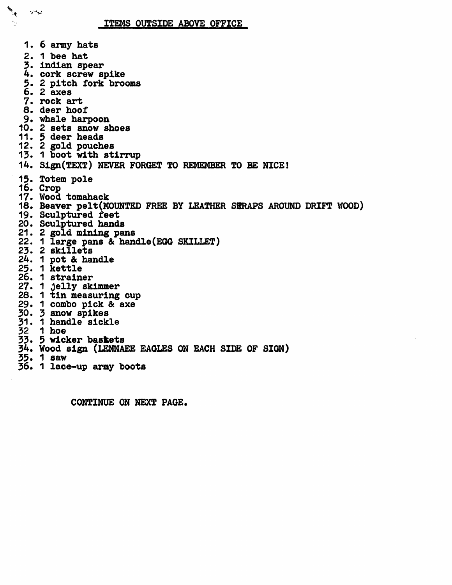ITEMS OUTSIDE ABOVE OFFICE

**RAI** 

۰.,

 $\mathbf{y}^{\mathbf{a}}$ 

1. 6 army hats 2. 1 bee hat 3. indian spear 4. cork screw spike 5. 2 pitch fork brooms **6.** 2 axes 7. rock art 8. deer hoof 9. whale harpoon 10. 2 sets snow shoes 11. 5 deer heads 12. 2 gold pouches 13. 1 boot with stirrup 14. Sign(TEXT) NEVER FORGET TO REMEMBER TO BE NICE! 15. Totem pole 16. Crop 17. Wood tomahack 18. Beaver pelt(MOUNTED FREE BY LEATHER SIRAPS AROUND DRIFT WOOD) 19. Sculptured feet 20. Sculptured hands 21. 2 gold mining pans 22. 1 large pans & handle (EGG SKILLET) 29. Z skillets 24. 1 pot & handle 22. 1 kettle 26. 1 strainer 27. 1 jelly skimmer **28. 1 tin measuring cup** 29\* 1 combo pick & axe 30. 3 snow spikes  $5.1 \cdot 1$  hangie sickie 32 1 hoe 33. 5 wicker baskets 34. Wood sign (LENNAEE EAGLES ON EACH SIDE OF SIGN) 35. 1 saw 36. 1 lace-up army boots

CONTINUE ON NEXT PAGE.